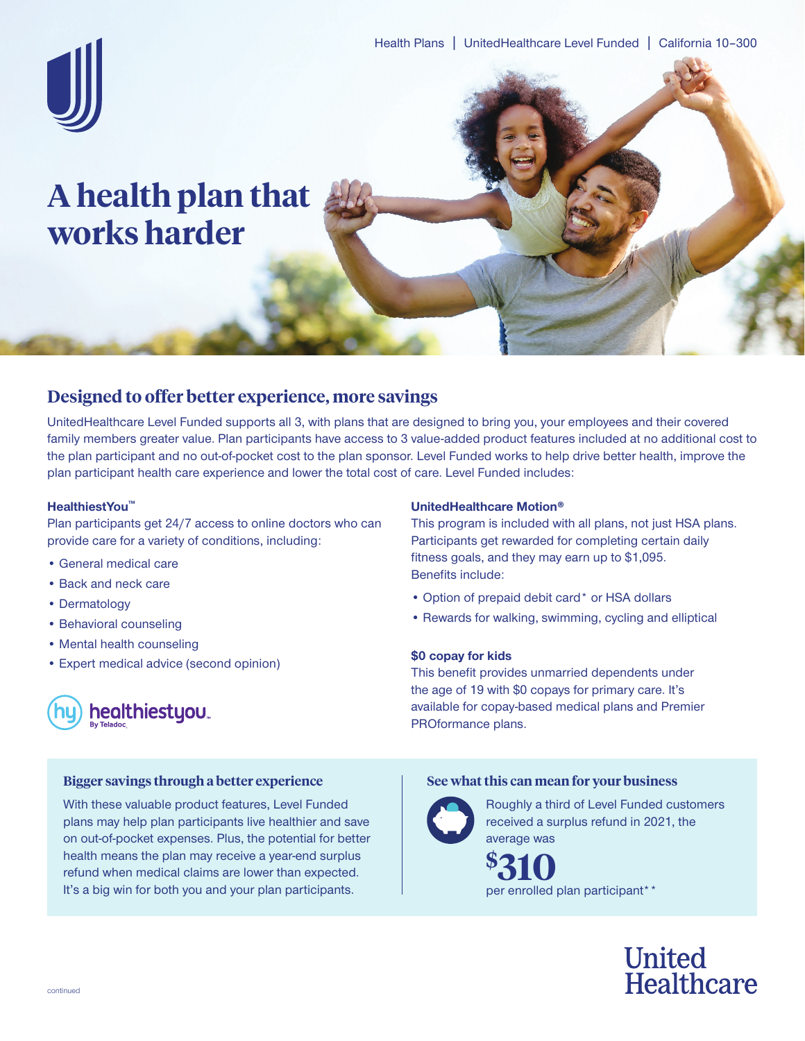

# **A health plan that works harder**

## **Designed to offer better experience, more savings**

UnitedHealthcare Level Funded supports all 3, with plans that are designed to bring you, your employees and their covered family members greater value. Plan participants have access to 3 value-added product features included at no additional cost to the plan participant and no out-of-pocket cost to the plan sponsor. Level Funded works to help drive better health, improve the plan participant health care experience and lower the total cost of care. Level Funded includes:

#### **HealthiestYou™**

Plan participants get 24/7 access to online doctors who can provide care for a variety of conditions, including:

With these valuable product features, Level Funded plans may help plan participants live healthier and save on out-of-pocket expenses. Plus, the potential for better health means the plan may receive a year-end surplus refund when medical claims are lower than expected. It's a big win for both you and your plan participants.

- General medical care
- Back and neck care
- Dermatology
- Behavioral counseling
- Mental health counseling
- Expert medical advice (second opinion)



### **UnitedHealthcare Motion®**

This program is included with all plans, not just HSA plans. Participants get rewarded for completing certain daily fitness goals, and they may earn up to \$1,095. Benefits include:

- Option of prepaid debit card\* or HSA dollars
- Rewards for walking, swimming, cycling and elliptical

#### **\$0 copay for kids**

This benefit provides unmarried dependents under the age of 19 with \$0 copays for primary care. It's available for copay-based medical plans and Premier PROformance plans.

#### **Bigger savings through a better experience See what this can mean for your business**



Roughly a third of Level Funded customers received a surplus refund in 2021, the average was

**\$**  $\${\bf 310}$ <br>per enrolled plan participant\*\*

> **United** Healthcare